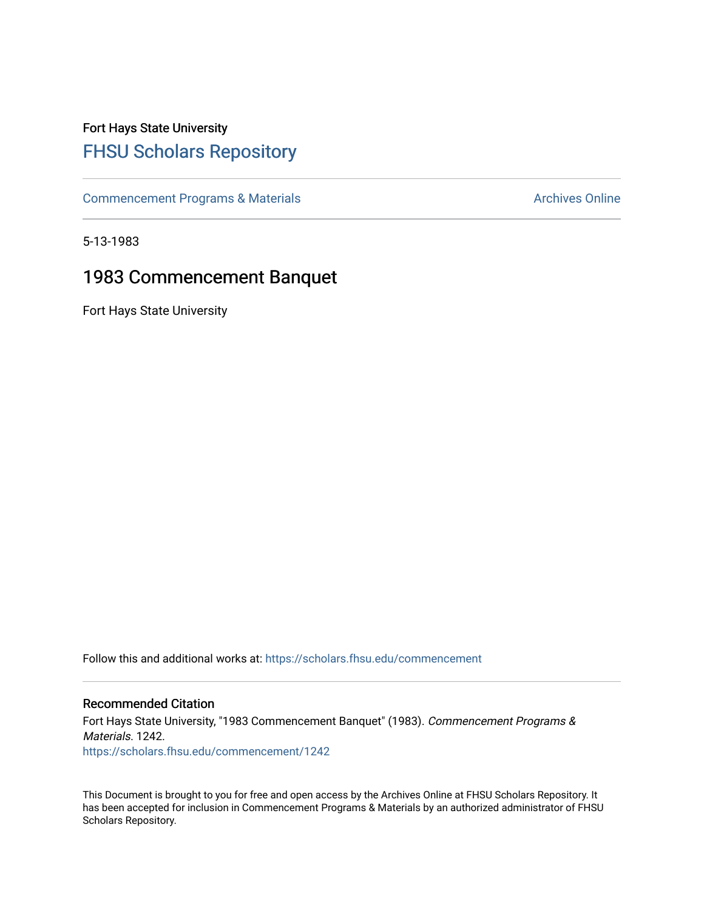### Fort Hays State University [FHSU Scholars Repository](https://scholars.fhsu.edu/)

[Commencement Programs & Materials](https://scholars.fhsu.edu/commencement) **Archives Online** Archives Online

5-13-1983

### 1983 Commencement Banquet

Fort Hays State University

Follow this and additional works at: [https://scholars.fhsu.edu/commencement](https://scholars.fhsu.edu/commencement?utm_source=scholars.fhsu.edu%2Fcommencement%2F1242&utm_medium=PDF&utm_campaign=PDFCoverPages)

#### Recommended Citation

Fort Hays State University, "1983 Commencement Banquet" (1983). Commencement Programs & Materials. 1242. [https://scholars.fhsu.edu/commencement/1242](https://scholars.fhsu.edu/commencement/1242?utm_source=scholars.fhsu.edu%2Fcommencement%2F1242&utm_medium=PDF&utm_campaign=PDFCoverPages) 

This Document is brought to you for free and open access by the Archives Online at FHSU Scholars Repository. It has been accepted for inclusion in Commencement Programs & Materials by an authorized administrator of FHSU Scholars Repository.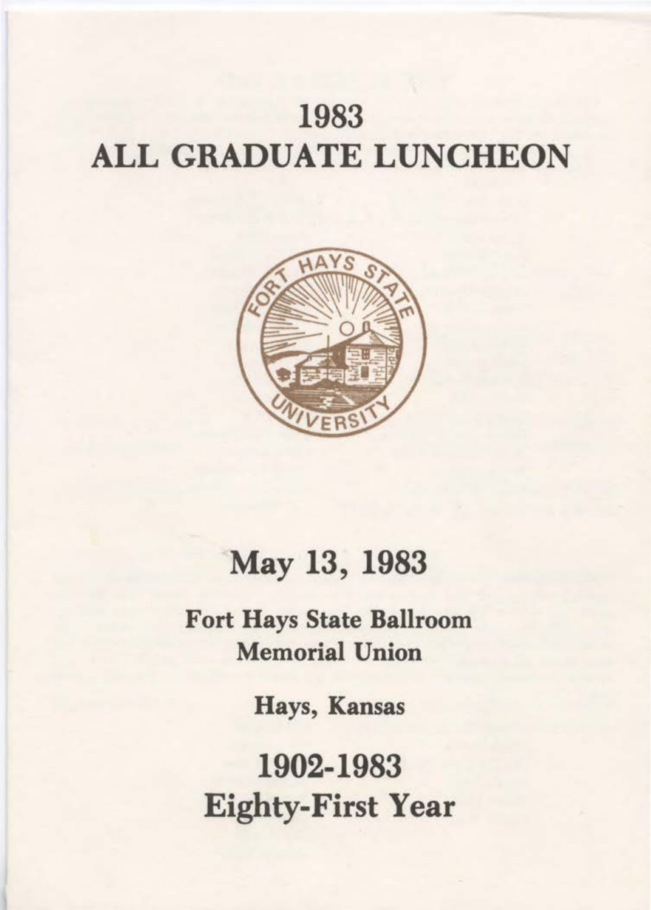# 1983 ALL GRADUATE LUNCHEON



# May 13, 1983

Fort Hays State Ballroom Memorial Union

Hays, Kansas

1902-1983 Eighty-First Year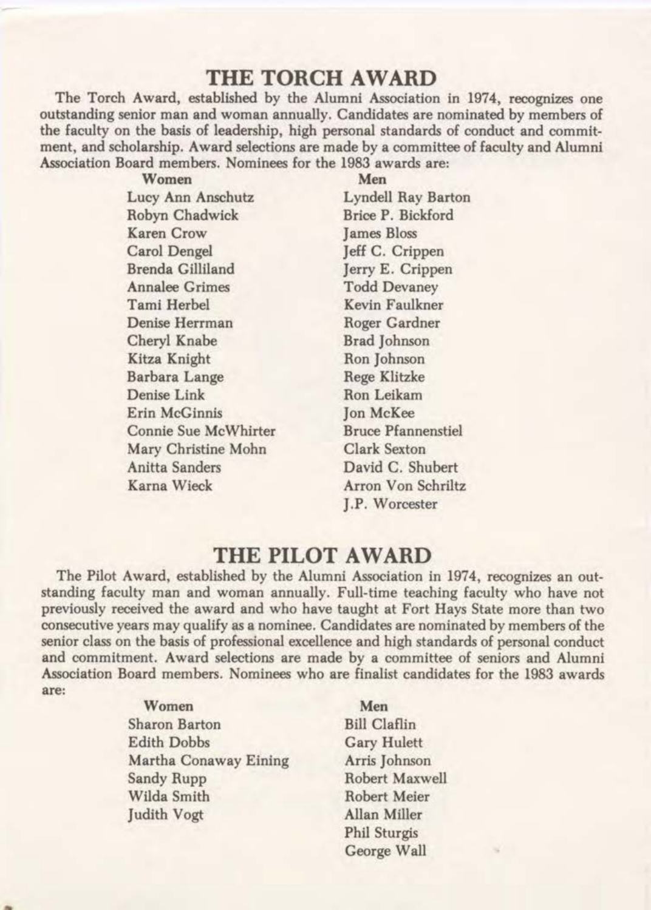### **THE TORCH AWARD**

The Torch Award, established by the Alumni Association in 1974, recognizes one outstanding senior man and woman annually. Candidates are nominated by members of the faculty on the basis of leadership, high personal standards of conduct and commitment, and scholarship. Award selections are made by a committee of faculty and Alumni Association Board members. Nominees for the 1983 awards are:

| Women                 | Men                       |
|-----------------------|---------------------------|
| Lucy Ann Anschutz     | <b>Lyndell Ray Barton</b> |
| Robyn Chadwick        | Brice P. Bickford         |
| <b>Karen Crow</b>     | <b>James Bloss</b>        |
| Carol Dengel          | Jeff C. Crippen           |
| Brenda Gilliland      | Jerry E. Crippen          |
| <b>Annalee Grimes</b> | <b>Todd Devaney</b>       |
| Tami Herbel           | Kevin Faulkner            |
| Denise Herrman        | Roger Gardner             |
| Cheryl Knabe          | Brad Johnson              |
| Kitza Knight          | Ron Johnson               |
| Barbara Lange         | <b>Rege Klitzke</b>       |
| Denise Link           | Ron Leikam                |
| Erin McGinnis         | Jon McKee                 |
| Connie Sue McWhirter  | <b>Bruce Pfannenstiel</b> |
| Mary Christine Mohn   | <b>Clark Sexton</b>       |
| Anitta Sanders        | David C. Shubert          |
| Karna Wieck           | Arron Von Schriltz        |
|                       |                           |

J.P. Worcester

#### **THE PILOT AWARD**

The Pilot Award, established by the Alumni Association in 1974, recognizes an outstanding faculty man and woman annually. Full-time teaching faculty who have not previously received the award and who have taught at Fort Hays State more than two consecutive years may qualify as a nominee. Candidates are nominated by members of the senior class on the basis of professional excellence and high standards of personal conduct and commitment. Award selections are made by a committee of seniors and Alumni Association Board members. Nominees who are finalist candidates for the 1983 awards are:

> Women Sharon Barton Edith Dobbs Martha Conaway Eining Sandy Rupp Wilda Smith Judith Vogt

Men Bill Claflin Gary Hulett Arris Johnson Robert Maxwell Robert Meier Allan Miller Phil Sturgis George Wall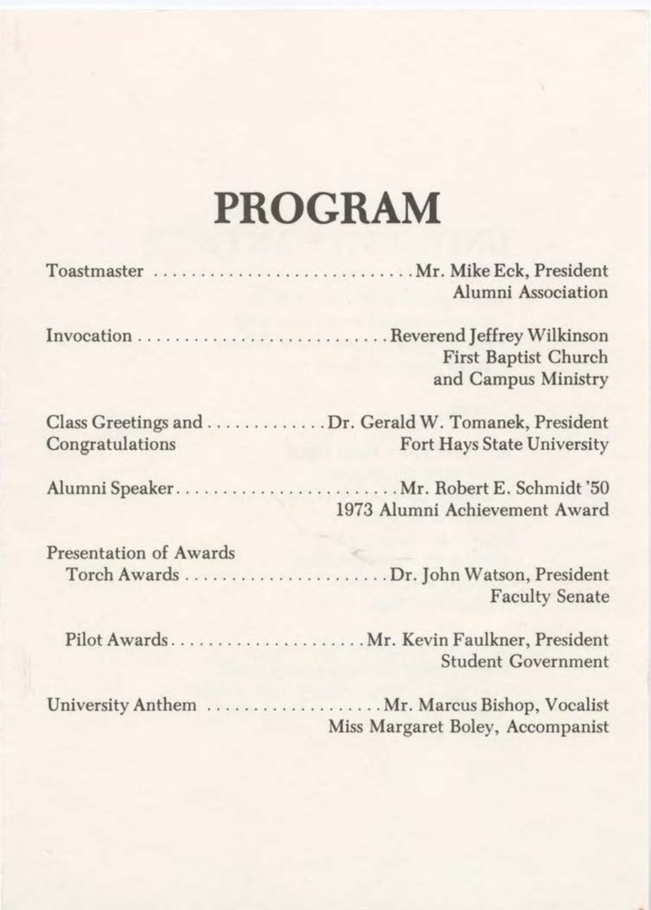# **PROGRAM**

|                               | Toastmaster  Mr. Mike Eck, President<br>Alumni Association                          |
|-------------------------------|-------------------------------------------------------------------------------------|
|                               | <b>First Baptist Church</b><br>and Campus Ministry                                  |
| Congratulations               | Class Greetings and  Dr. Gerald W. Tomanek, President<br>Fort Hays State University |
|                               | 1973 Alumni Achievement Award                                                       |
| <b>Presentation of Awards</b> | <b>Faculty Senate</b>                                                               |
|                               | Pilot Awards Mr. Kevin Faulkner, President<br><b>Student Government</b>             |
|                               | Miss Margaret Boley, Accompanist                                                    |